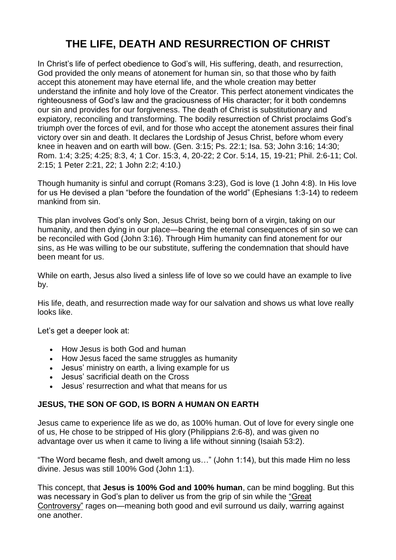# **THE LIFE, DEATH AND RESURRECTION OF CHRIST**

In Christ's life of perfect obedience to God's will, His suffering, death, and resurrection, God provided the only means of atonement for human sin, so that those who by faith accept this atonement may have eternal life, and the whole creation may better understand the infinite and holy love of the Creator. This perfect atonement vindicates the righteousness of God's law and the graciousness of His character; for it both condemns our sin and provides for our forgiveness. The death of Christ is substitutionary and expiatory, reconciling and transforming. The bodily resurrection of Christ proclaims God's triumph over the forces of evil, and for those who accept the atonement assures their final victory over sin and death. It declares the Lordship of Jesus Christ, before whom every knee in heaven and on earth will bow. (Gen. 3:15; Ps. 22:1; Isa. 53; John 3:16; 14:30; Rom. 1:4; 3:25; 4:25; 8:3, 4; 1 Cor. 15:3, 4, 20-22; 2 Cor. 5:14, 15, 19-21; Phil. 2:6-11; Col. 2:15; 1 Peter 2:21, 22; 1 John 2:2; 4:10.)

Though [humanity](https://www.adventist.org/nature-of-humanity/) is sinful and corrupt (Romans 3:23), God is love (1 John 4:8). In His love for us He devised a plan "before the foundation of the world" (Ephesians 1:3-14) to redeem mankind from sin.

This plan involves God's only Son, Jesus [Christ,](https://www.adventist.org/son/) being born of a virgin, taking on our humanity, and then dying in our place—bearing the eternal consequences of sin so we can be reconciled with God (John 3:16). Through Him humanity can find [atonement](https://www.adventist.org/who-are-seventh-day-adventists/salvation-in-jesus-alone/) for our [sins,](https://www.adventist.org/who-are-seventh-day-adventists/salvation-in-jesus-alone/) as He was willing to be our substitute, suffering the condemnation that should have been meant for us.

While on earth, Jesus also lived a sinless life of love so we could have an example to live by.

His life, death, and resurrection made way for our salvation and shows us what love really looks like.

Let's get a deeper look at:

- How Jesus is both God and [human](https://www.adventist.org/life-death-and-resurrection-of-christ/#jesus-human-god)
- How Jesus faced the same struggles as [humanity](https://www.adventist.org/life-death-and-resurrection-of-christ/#jesus-struggles)
- Jesus' ministry on earth, a living [example](https://www.adventist.org/life-death-and-resurrection-of-christ/#jesus-ministry) for us
- Jesus' [sacrificial](https://www.adventist.org/life-death-and-resurrection-of-christ/#jesus-death) death on the Cross
- Jesus' [resurrection](https://www.adventist.org/life-death-and-resurrection-of-christ/#jesus-resurrection) and what that means for us

# **JESUS, THE SON OF GOD, IS BORN A HUMAN ON EARTH**

Jesus came to experience life as we do, as 100% human. Out of love for every single one of us, He chose to be stripped of His glory (Philippians 2:6-8), and was given no advantage over us when it came to living a life without sinning (Isaiah 53:2).

"The Word became flesh, and dwelt among us…" (John 1:14), but this made Him no less divine. Jesus was still 100% God (John 1:1).

This concept, that **Jesus is 100% God and 100% human**, can be mind boggling. But this was necessary in God's plan to deliver us from the grip of sin while the ["Great](https://www.adventist.org/the-great-controversy/) [Controversy"](https://www.adventist.org/the-great-controversy/) rages on—meaning both good and evil surround us daily, warring against one another.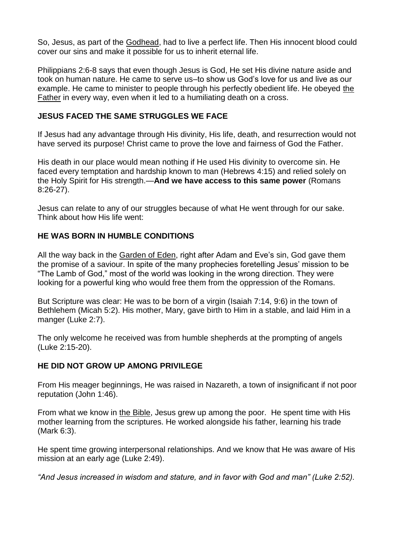So, Jesus, as part of the [Godhead,](https://www.adventist.org/trinity/) had to live a perfect life. Then His innocent blood could cover our sins and make it possible for us to inherit eternal life.

Philippians 2:6-8 says that even though Jesus is God, He set His divine nature aside and took on human nature. He came to serve us–to show us God's love for us and live as our example. He came to minister to people through his perfectly obedient life. He obeyed [the](https://www.adventist.org/father/) [Father](https://www.adventist.org/father/) in every way, even when it led to a humiliating death on a cross.

## **JESUS FACED THE SAME STRUGGLES WE FACE**

If Jesus had any advantage through His divinity, His life, death, and resurrection would not have served its purpose! Christ came to prove the love and fairness of God the Father.

His death in our place would mean nothing if He used His divinity to overcome sin. He faced every temptation and hardship known to man (Hebrews 4:15) and relied solely on the Holy Spirit for His strength.—**And we have access to this same power** (Romans 8:26-27).

Jesus can relate to any of our struggles because of what He went through for our sake. Think about how His life went:

# **HE WAS BORN IN HUMBLE CONDITIONS**

All the way back in the [Garden](https://www.adventist.org/creation/) of Eden, right after Adam and Eve's sin, God gave them the promise of a saviour. In spite of the many prophecies foretelling Jesus' mission to be "The Lamb of God," most of the world was looking in the wrong direction. They were looking for a powerful king who would free them from the oppression of the Romans.

But Scripture was clear: He was to be born of a virgin (Isaiah 7:14, 9:6) in the town of Bethlehem (Micah 5:2). His mother, Mary, gave birth to Him in a stable, and laid Him in a manger (Luke 2:7).

The only welcome he received was from humble shepherds at the prompting of angels (Luke 2:15-20).

#### **HE DID NOT GROW UP AMONG PRIVILEGE**

From His meager beginnings, He was raised in Nazareth, a town of insignificant if not poor reputation (John 1:46).

From what we know in the [Bible,](https://www.adventist.org/holy-scriptures/) Jesus grew up among the poor. He spent time with His mother learning from the scriptures. He worked alongside his father, learning his trade (Mark 6:3).

He spent time growing interpersonal relationships. And we know that He was aware of His mission at an early age (Luke 2:49).

*"And Jesus increased in wisdom and stature, and in favor with God and man" (Luke 2:52).*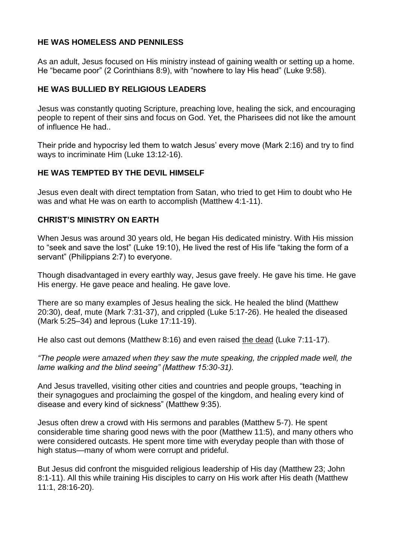## **HE WAS HOMELESS AND PENNILESS**

As an adult, Jesus focused on His ministry instead of gaining wealth or setting up a home. He "became poor" (2 Corinthians 8:9), with "nowhere to lay His head" (Luke 9:58).

## **HE WAS BULLIED BY RELIGIOUS LEADERS**

Jesus was constantly quoting Scripture, preaching love, healing the sick, and encouraging people to repent of their sins and focus on God. Yet, the Pharisees did not like the amount of influence He had..

Their pride and hypocrisy led them to watch Jesus' every move (Mark 2:16) and try to find ways to incriminate Him (Luke 13:12-16).

## **HE WAS TEMPTED BY THE DEVIL HIMSELF**

Jesus even dealt with direct temptation from Satan, who tried to get Him to doubt who He was and what He was on earth to accomplish (Matthew 4:1-11).

#### **CHRIST'S MINISTRY ON EARTH**

When Jesus was around 30 years old, He began His dedicated ministry. With His mission to "seek and save the lost" (Luke 19:10), He lived the rest of His life "taking the form of a servant" (Philippians 2:7) to everyone.

Though disadvantaged in every earthly way, Jesus gave freely. He gave his time. He gave His energy. He gave peace and healing. He gave love.

There are so many examples of Jesus healing the sick. He healed the blind (Matthew 20:30), deaf, mute (Mark 7:31-37), and crippled (Luke 5:17-26). He healed the diseased (Mark 5:25–34) and leprous (Luke 17:11-19).

He also cast out demons (Matthew 8:16) and even raised the [dead](https://www.adventist.org/death-and-resurrection/) (Luke 7:11-17).

*"The people were amazed when they saw the mute speaking, the crippled made well, the lame walking and the blind seeing" (Matthew 15:30-31).*

And Jesus travelled, visiting other cities and countries and people groups, "teaching in their synagogues and proclaiming the gospel of the kingdom, and healing every kind of disease and every kind of sickness" (Matthew 9:35).

Jesus often drew a crowd with His sermons and parables (Matthew 5-7). He spent considerable time sharing good news with the poor (Matthew 11:5), and many others who were considered outcasts. He spent more time with everyday people than with those of high status—many of whom were corrupt and prideful.

But Jesus did confront the misguided religious leadership of His day (Matthew 23; John 8:1-11). All this while training His disciples to carry on His work after His death (Matthew 11:1, 28:16-20).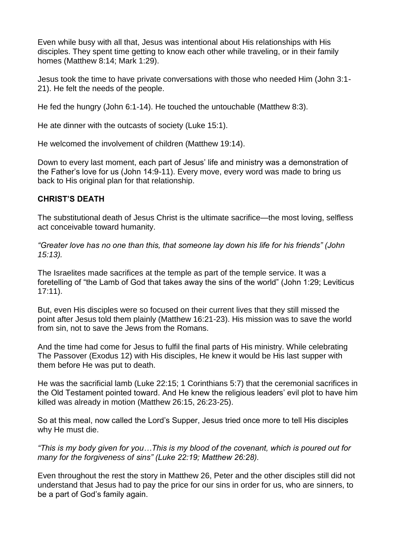Even while busy with all that, Jesus was intentional about His relationships with His disciples. They spent time getting to know each other while traveling, or in their family homes (Matthew 8:14; Mark 1:29).

Jesus took the time to have private conversations with those who needed Him (John 3:1- 21). He felt the needs of the people.

He fed the hungry (John 6:1-14). He touched the untouchable (Matthew 8:3).

He ate dinner with the outcasts of society (Luke 15:1).

He welcomed the involvement of children (Matthew 19:14).

Down to every last moment, each part of Jesus' life and ministry was a demonstration of the Father's love for us (John 14:9-11). Every move, every word was made to bring us back to His original plan for that relationship.

## **CHRIST'S DEATH**

The substitutional death of Jesus Christ is the ultimate sacrifice—the most loving, selfless act conceivable toward humanity.

*"Greater love has no one than this, that someone lay down his life for his friends" (John 15:13).*

The Israelites made sacrifices at the temple as part of the temple service. It was a foretelling of "the Lamb of God that takes away the sins of the world" (John 1:29; Leviticus 17:11).

But, even His disciples were so focused on their current lives that they still missed the point after Jesus told them plainly (Matthew 16:21-23). His mission was to save the world from sin, not to save the Jews from the Romans.

And the time had come for Jesus to fulfil the final parts of His ministry. While celebrating The Passover (Exodus 12) with His disciples, He knew it would be His last supper with them before He was put to death.

He was the sacrificial lamb (Luke 22:15; 1 Corinthians 5:7) that the ceremonial sacrifices in the Old Testament pointed toward. And He knew the religious leaders' evil plot to have him killed was already in motion (Matthew 26:15, 26:23-25).

So at this meal, now called the Lord's Supper, Jesus tried once more to tell His disciples why He must die.

*"This is my body given for you…This is my blood of the covenant, which is poured out for many for the forgiveness of sins" (Luke 22:19; Matthew 26:28).*

Even throughout the rest the story in Matthew 26, Peter and the other disciples still did not understand that Jesus had to pay the price for our sins in order for us, who are sinners, to be a part of God's family again.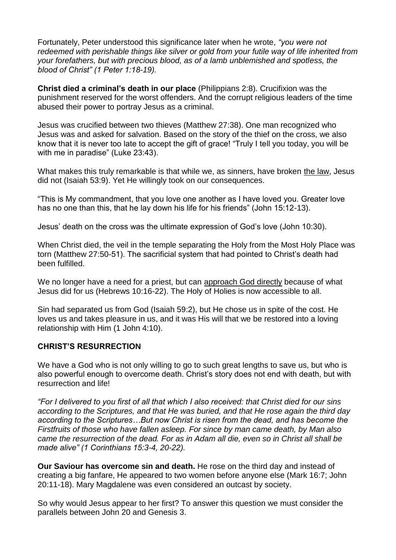Fortunately, Peter understood this significance later when he wrote, *"you were not redeemed with perishable things like silver or gold from your futile way of life inherited from your forefathers, but with precious blood, as of a lamb unblemished and spotless, the blood of Christ" (1 Peter 1:18-19).*

**Christ died a criminal's death in our place** (Philippians 2:8). Crucifixion was the punishment reserved for the worst offenders. And the corrupt religious leaders of the time abused their power to portray Jesus as a criminal.

Jesus was crucified between two thieves (Matthew 27:38). One man recognized who Jesus was and asked for salvation. Based on the story of the thief on the cross, we also know that it is never too late to accept the gift of grace! "Truly I tell you today, you will be with me in paradise" (Luke 23:43).

What makes this truly remarkable is that while we, as sinners, have broken the [law,](https://www.adventist.org/the-law-of-god/) Jesus did not (Isaiah 53:9). Yet He willingly took on our consequences.

"This is My commandment, that you love one another as I have loved you. Greater love has no one than this, that he lay down his life for his friends" (John 15:12-13).

Jesus' death on the cross was the ultimate expression of God's love (John 10:30).

When Christ died, the veil in the temple separating the Holy from the Most Holy Place was torn (Matthew 27:50-51). The sacrificial system that had pointed to Christ's death had been fulfilled.

We no longer have a need for a priest, but can [approach](https://www.adventist.org/christs-ministry-in-the-heavenly-sanctuary/) God directly because of what Jesus did for us (Hebrews 10:16-22). The Holy of Holies is now accessible to all.

Sin had separated us from God (Isaiah 59:2), but He chose us in spite of the cost. He loves us and takes pleasure in us, and it was His will that we be restored into a loving relationship with Him (1 John 4:10).

#### **CHRIST'S RESURRECTION**

We have a God who is not only willing to go to such great lengths to save us, but who is also powerful enough to overcome death. Christ's story does not end with death, but with resurrection and life!

*"For I delivered to you first of all that which I also received: that Christ died for our sins according to the Scriptures, and that He was buried, and that He rose again the third day according to the Scriptures…But now Christ is risen from the dead, and has become the Firstfruits of those who have fallen asleep. For since by man came death, by Man also came the resurrection of the dead. For as in Adam all die, even so in Christ all shall be made alive" (1 Corinthians 15:3-4, 20-22).*

**Our Saviour has overcome sin and death.** He rose on the third day and instead of creating a big fanfare, He appeared to two women before anyone else (Mark 16:7; John 20:11-18). Mary Magdalene was even considered an outcast by society.

So why would Jesus appear to her first? To answer this question we must consider the parallels between John 20 and Genesis 3.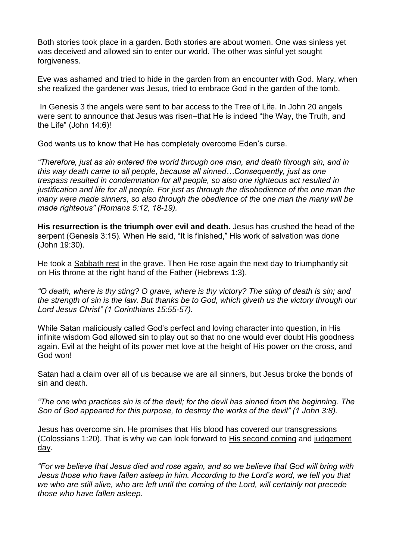Both stories took place in a garden. Both stories are about women. One was sinless yet was deceived and allowed sin to enter our world. The other was sinful yet sought forgiveness.

Eve was ashamed and tried to hide in the garden from an encounter with God. Mary, when she realized the gardener was Jesus, tried to embrace God in the garden of the tomb.

In Genesis 3 the angels were sent to bar access to the Tree of Life. In John 20 angels were sent to announce that Jesus was risen–that He is indeed "the Way, the Truth, and the Life" (John 14:6)!

God wants us to know that He has completely overcome Eden's curse.

*"Therefore, just as sin entered the world through one man, and death through sin, and in this way death came to all people, because all sinned…Consequently, just as one trespass resulted in condemnation for all people, so also one righteous act resulted in justification and life for all people. For just as through the disobedience of the one man the many were made sinners, so also through the obedience of the one man the many will be made righteous" (Romans 5:12, 18-19).*

**His resurrection is the triumph over evil and death.** Jesus has crushed the head of the serpent (Genesis 3:15). When He said, "It is finished," His work of salvation was done (John 19:30).

He took a [Sabbath](https://www.adventist.org/the-sabbath/) rest in the grave. Then He rose again the next day to triumphantly sit on His throne at the right hand of the Father (Hebrews 1:3).

*"O death, where is thy sting? O grave, where is thy victory? The sting of death is sin; and the strength of sin is the law. But thanks be to God, which giveth us the victory through our Lord Jesus Christ" (1 Corinthians 15:55-57).*

While Satan maliciously called God's perfect and loving character into question, in His infinite wisdom God allowed sin to play out so that no one would ever doubt His goodness again. Evil at the height of its power met love at the height of His power on the cross, and God won!

Satan had a claim over all of us because we are all sinners, but Jesus broke the bonds of sin and death.

*"The one who practices sin is of the devil; for the devil has sinned from the beginning. The Son of God appeared for this purpose, to destroy the works of the devil" (1 John 3:8).*

Jesus has overcome sin. He promises that His blood has covered our transgressions (Colossians 1:20). That is why we can look forward to His [second](https://www.adventist.org/second-coming/) coming and [judgement](https://www.adventist.org/millennium-and-the-end-of-sin/) [day.](https://www.adventist.org/millennium-and-the-end-of-sin/)

*"For we believe that Jesus died and rose again, and so we believe that God will bring with Jesus those who have fallen asleep in him. According to the Lord's word, we tell you that we who are still alive, who are left until the coming of the Lord, will certainly not precede those who have fallen asleep.*